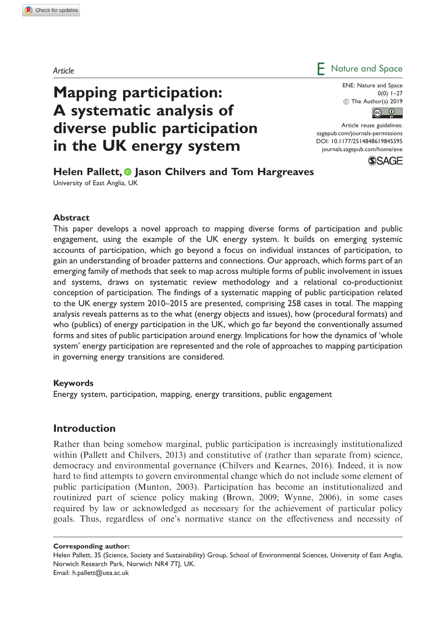# Article **Article**

ENE: Nature and Space  $0(0)$  1–27  $©$  The Author(s) 2019



Article reuse guidelines: [sagepub.com/journals-permissions](https://uk.sagepub.com/en-gb/journals-permissions) DOI: [10.1177/2514848619845595](https://doi.org/10.1177/2514848619845595) <journals.sagepub.com/home/ene>



Helen Pallett. **I** lason Chilvers and Tom Hargreaves University of East Anglia, UK

Mapping participation:

A systematic analysis of

in the UK energy system

diverse public participation

#### Abstract

This paper develops a novel approach to mapping diverse forms of participation and public engagement, using the example of the UK energy system. It builds on emerging systemic accounts of participation, which go beyond a focus on individual instances of participation, to gain an understanding of broader patterns and connections. Our approach, which forms part of an emerging family of methods that seek to map across multiple forms of public involvement in issues and systems, draws on systematic review methodology and a relational co-productionist conception of participation. The findings of a systematic mapping of public participation related to the UK energy system 2010–2015 are presented, comprising 258 cases in total. The mapping analysis reveals patterns as to the what (energy objects and issues), how (procedural formats) and who (publics) of energy participation in the UK, which go far beyond the conventionally assumed forms and sites of public participation around energy. Implications for how the dynamics of 'whole system' energy participation are represented and the role of approaches to mapping participation in governing energy transitions are considered.

#### Keywords

Energy system, participation, mapping, energy transitions, public engagement

### Introduction

Rather than being somehow marginal, public participation is increasingly institutionalized within (Pallett and Chilvers, 2013) and constitutive of (rather than separate from) science, democracy and environmental governance (Chilvers and Kearnes, 2016). Indeed, it is now hard to find attempts to govern environmental change which do not include some element of public participation (Munton, 2003). Participation has become an institutionalized and routinized part of science policy making (Brown, 2009; Wynne, 2006), in some cases required by law or acknowledged as necessary for the achievement of particular policy goals. Thus, regardless of one's normative stance on the effectiveness and necessity of

Corresponding author:

Helen Pallett, 3S (Science, Society and Sustainability) Group, School of Environmental Sciences, University of East Anglia, Norwich Research Park, Norwich NR4 7TJ, UK. Email: h.pallett@uea.ac.uk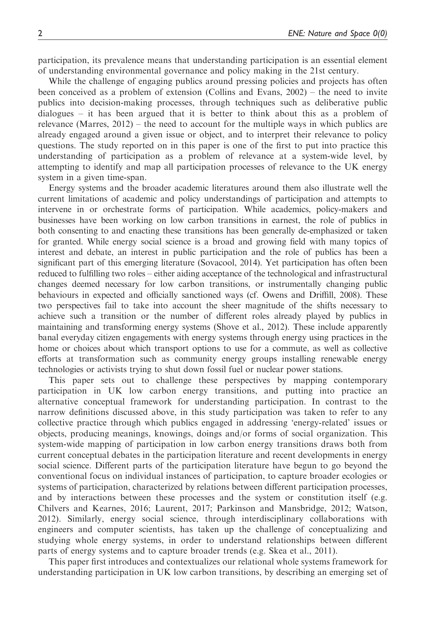participation, its prevalence means that understanding participation is an essential element of understanding environmental governance and policy making in the 21st century.

While the challenge of engaging publics around pressing policies and projects has often been conceived as a problem of extension (Collins and Evans, 2002) – the need to invite publics into decision-making processes, through techniques such as deliberative public dialogues – it has been argued that it is better to think about this as a problem of relevance (Marres, 2012) – the need to account for the multiple ways in which publics are already engaged around a given issue or object, and to interpret their relevance to policy questions. The study reported on in this paper is one of the first to put into practice this understanding of participation as a problem of relevance at a system-wide level, by attempting to identify and map all participation processes of relevance to the UK energy system in a given time-span.

Energy systems and the broader academic literatures around them also illustrate well the current limitations of academic and policy understandings of participation and attempts to intervene in or orchestrate forms of participation. While academics, policy-makers and businesses have been working on low carbon transitions in earnest, the role of publics in both consenting to and enacting these transitions has been generally de-emphasized or taken for granted. While energy social science is a broad and growing field with many topics of interest and debate, an interest in public participation and the role of publics has been a significant part of this emerging literature (Sovacool, 2014). Yet participation has often been reduced to fulfilling two roles – either aiding acceptance of the technological and infrastructural changes deemed necessary for low carbon transitions, or instrumentally changing public behaviours in expected and officially sanctioned ways (cf. Owens and Driffill, 2008). These two perspectives fail to take into account the sheer magnitude of the shifts necessary to achieve such a transition or the number of different roles already played by publics in maintaining and transforming energy systems (Shove et al., 2012). These include apparently banal everyday citizen engagements with energy systems through energy using practices in the home or choices about which transport options to use for a commute, as well as collective efforts at transformation such as community energy groups installing renewable energy technologies or activists trying to shut down fossil fuel or nuclear power stations.

This paper sets out to challenge these perspectives by mapping contemporary participation in UK low carbon energy transitions, and putting into practice an alternative conceptual framework for understanding participation. In contrast to the narrow definitions discussed above, in this study participation was taken to refer to any collective practice through which publics engaged in addressing 'energy-related' issues or objects, producing meanings, knowings, doings and/or forms of social organization. This system-wide mapping of participation in low carbon energy transitions draws both from current conceptual debates in the participation literature and recent developments in energy social science. Different parts of the participation literature have begun to go beyond the conventional focus on individual instances of participation, to capture broader ecologies or systems of participation, characterized by relations between different participation processes, and by interactions between these processes and the system or constitution itself (e.g. Chilvers and Kearnes, 2016; Laurent, 2017; Parkinson and Mansbridge, 2012; Watson, 2012). Similarly, energy social science, through interdisciplinary collaborations with engineers and computer scientists, has taken up the challenge of conceptualizing and studying whole energy systems, in order to understand relationships between different parts of energy systems and to capture broader trends (e.g. Skea et al., 2011).

This paper first introduces and contextualizes our relational whole systems framework for understanding participation in UK low carbon transitions, by describing an emerging set of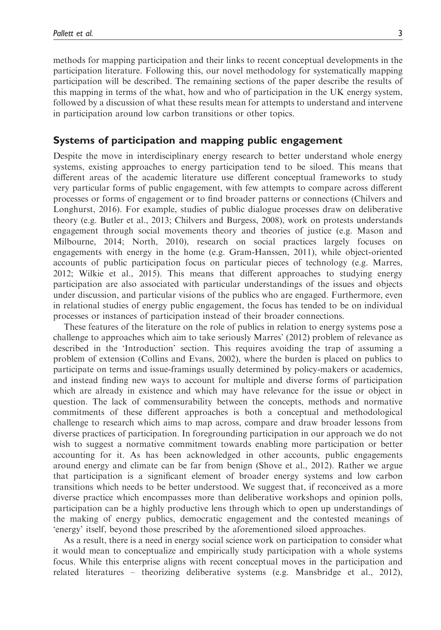methods for mapping participation and their links to recent conceptual developments in the participation literature. Following this, our novel methodology for systematically mapping participation will be described. The remaining sections of the paper describe the results of this mapping in terms of the what, how and who of participation in the UK energy system, followed by a discussion of what these results mean for attempts to understand and intervene in participation around low carbon transitions or other topics.

# Systems of participation and mapping public engagement

Despite the move in interdisciplinary energy research to better understand whole energy systems, existing approaches to energy participation tend to be siloed. This means that different areas of the academic literature use different conceptual frameworks to study very particular forms of public engagement, with few attempts to compare across different processes or forms of engagement or to find broader patterns or connections (Chilvers and Longhurst, 2016). For example, studies of public dialogue processes draw on deliberative theory (e.g. Butler et al., 2013; Chilvers and Burgess, 2008), work on protests understands engagement through social movements theory and theories of justice (e.g. Mason and Milbourne, 2014; North, 2010), research on social practices largely focuses on engagements with energy in the home (e.g. Gram-Hanssen, 2011), while object-oriented accounts of public participation focus on particular pieces of technology (e.g. Marres, 2012; Wilkie et al., 2015). This means that different approaches to studying energy participation are also associated with particular understandings of the issues and objects under discussion, and particular visions of the publics who are engaged. Furthermore, even in relational studies of energy public engagement, the focus has tended to be on individual processes or instances of participation instead of their broader connections.

These features of the literature on the role of publics in relation to energy systems pose a challenge to approaches which aim to take seriously Marres' (2012) problem of relevance as described in the 'Introduction' section. This requires avoiding the trap of assuming a problem of extension (Collins and Evans, 2002), where the burden is placed on publics to participate on terms and issue-framings usually determined by policy-makers or academics, and instead finding new ways to account for multiple and diverse forms of participation which are already in existence and which may have relevance for the issue or object in question. The lack of commensurability between the concepts, methods and normative commitments of these different approaches is both a conceptual and methodological challenge to research which aims to map across, compare and draw broader lessons from diverse practices of participation. In foregrounding participation in our approach we do not wish to suggest a normative commitment towards enabling more participation or better accounting for it. As has been acknowledged in other accounts, public engagements around energy and climate can be far from benign (Shove et al., 2012). Rather we argue that participation is a significant element of broader energy systems and low carbon transitions which needs to be better understood. We suggest that, if reconceived as a more diverse practice which encompasses more than deliberative workshops and opinion polls, participation can be a highly productive lens through which to open up understandings of the making of energy publics, democratic engagement and the contested meanings of 'energy' itself, beyond those prescribed by the aforementioned siloed approaches.

As a result, there is a need in energy social science work on participation to consider what it would mean to conceptualize and empirically study participation with a whole systems focus. While this enterprise aligns with recent conceptual moves in the participation and related literatures – theorizing deliberative systems (e.g. Mansbridge et al., 2012),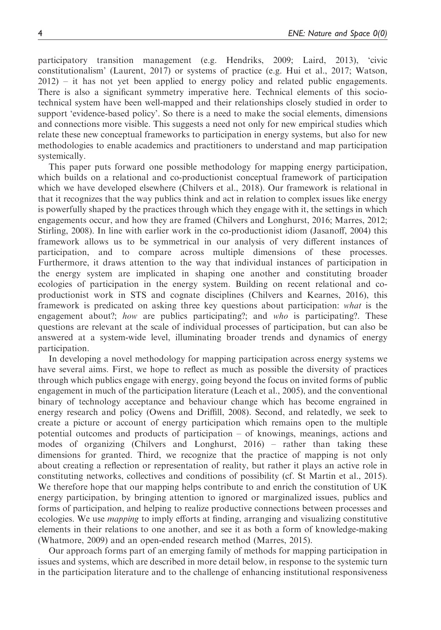participatory transition management (e.g. Hendriks, 2009; Laird, 2013), 'civic constitutionalism' (Laurent, 2017) or systems of practice (e.g. Hui et al., 2017; Watson, 2012) – it has not yet been applied to energy policy and related public engagements. There is also a significant symmetry imperative here. Technical elements of this sociotechnical system have been well-mapped and their relationships closely studied in order to support 'evidence-based policy'. So there is a need to make the social elements, dimensions and connections more visible. This suggests a need not only for new empirical studies which relate these new conceptual frameworks to participation in energy systems, but also for new methodologies to enable academics and practitioners to understand and map participation systemically.

This paper puts forward one possible methodology for mapping energy participation, which builds on a relational and co-productionist conceptual framework of participation which we have developed elsewhere (Chilvers et al., 2018). Our framework is relational in that it recognizes that the way publics think and act in relation to complex issues like energy is powerfully shaped by the practices through which they engage with it, the settings in which engagements occur, and how they are framed (Chilvers and Longhurst, 2016; Marres, 2012; Stirling, 2008). In line with earlier work in the co-productionist idiom (Jasanoff, 2004) this framework allows us to be symmetrical in our analysis of very different instances of participation, and to compare across multiple dimensions of these processes. Furthermore, it draws attention to the way that individual instances of participation in the energy system are implicated in shaping one another and constituting broader ecologies of participation in the energy system. Building on recent relational and coproductionist work in STS and cognate disciplines (Chilvers and Kearnes, 2016), this framework is predicated on asking three key questions about participation: what is the engagement about?; how are publics participating?; and  $who$  is participating?. These questions are relevant at the scale of individual processes of participation, but can also be answered at a system-wide level, illuminating broader trends and dynamics of energy participation.

In developing a novel methodology for mapping participation across energy systems we have several aims. First, we hope to reflect as much as possible the diversity of practices through which publics engage with energy, going beyond the focus on invited forms of public engagement in much of the participation literature (Leach et al., 2005), and the conventional binary of technology acceptance and behaviour change which has become engrained in energy research and policy (Owens and Driffill, 2008). Second, and relatedly, we seek to create a picture or account of energy participation which remains open to the multiple potential outcomes and products of participation – of knowings, meanings, actions and modes of organizing (Chilvers and Longhurst, 2016) – rather than taking these dimensions for granted. Third, we recognize that the practice of mapping is not only about creating a reflection or representation of reality, but rather it plays an active role in constituting networks, collectives and conditions of possibility (cf. St Martin et al., 2015). We therefore hope that our mapping helps contribute to and enrich the constitution of UK energy participation, by bringing attention to ignored or marginalized issues, publics and forms of participation, and helping to realize productive connections between processes and ecologies. We use *mapping* to imply efforts at finding, arranging and visualizing constitutive elements in their relations to one another, and see it as both a form of knowledge-making (Whatmore, 2009) and an open-ended research method (Marres, 2015).

Our approach forms part of an emerging family of methods for mapping participation in issues and systems, which are described in more detail below, in response to the systemic turn in the participation literature and to the challenge of enhancing institutional responsiveness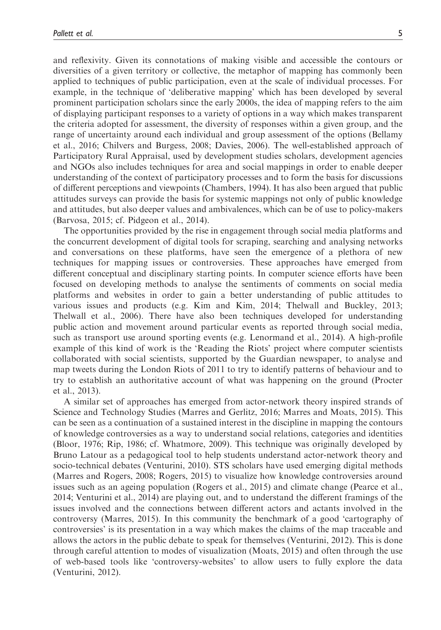and reflexivity. Given its connotations of making visible and accessible the contours or diversities of a given territory or collective, the metaphor of mapping has commonly been applied to techniques of public participation, even at the scale of individual processes. For example, in the technique of 'deliberative mapping' which has been developed by several prominent participation scholars since the early 2000s, the idea of mapping refers to the aim of displaying participant responses to a variety of options in a way which makes transparent the criteria adopted for assessment, the diversity of responses within a given group, and the range of uncertainty around each individual and group assessment of the options (Bellamy et al., 2016; Chilvers and Burgess, 2008; Davies, 2006). The well-established approach of Participatory Rural Appraisal, used by development studies scholars, development agencies and NGOs also includes techniques for area and social mappings in order to enable deeper understanding of the context of participatory processes and to form the basis for discussions of different perceptions and viewpoints (Chambers, 1994). It has also been argued that public attitudes surveys can provide the basis for systemic mappings not only of public knowledge and attitudes, but also deeper values and ambivalences, which can be of use to policy-makers (Barvosa, 2015; cf. Pidgeon et al., 2014).

The opportunities provided by the rise in engagement through social media platforms and the concurrent development of digital tools for scraping, searching and analysing networks and conversations on these platforms, have seen the emergence of a plethora of new techniques for mapping issues or controversies. These approaches have emerged from different conceptual and disciplinary starting points. In computer science efforts have been focused on developing methods to analyse the sentiments of comments on social media platforms and websites in order to gain a better understanding of public attitudes to various issues and products (e.g. Kim and Kim, 2014; Thelwall and Buckley, 2013; Thelwall et al., 2006). There have also been techniques developed for understanding public action and movement around particular events as reported through social media, such as transport use around sporting events (e.g. Lenormand et al., 2014). A high-profile example of this kind of work is the 'Reading the Riots' project where computer scientists collaborated with social scientists, supported by the Guardian newspaper, to analyse and map tweets during the London Riots of 2011 to try to identify patterns of behaviour and to try to establish an authoritative account of what was happening on the ground (Procter et al., 2013).

A similar set of approaches has emerged from actor-network theory inspired strands of Science and Technology Studies (Marres and Gerlitz, 2016; Marres and Moats, 2015). This can be seen as a continuation of a sustained interest in the discipline in mapping the contours of knowledge controversies as a way to understand social relations, categories and identities (Bloor, 1976; Rip, 1986; cf. Whatmore, 2009). This technique was originally developed by Bruno Latour as a pedagogical tool to help students understand actor-network theory and socio-technical debates (Venturini, 2010). STS scholars have used emerging digital methods (Marres and Rogers, 2008; Rogers, 2015) to visualize how knowledge controversies around issues such as an ageing population (Rogers et al., 2015) and climate change (Pearce et al., 2014; Venturini et al., 2014) are playing out, and to understand the different framings of the issues involved and the connections between different actors and actants involved in the controversy (Marres, 2015). In this community the benchmark of a good 'cartography of controversies' is its presentation in a way which makes the claims of the map traceable and allows the actors in the public debate to speak for themselves (Venturini, 2012). This is done through careful attention to modes of visualization (Moats, 2015) and often through the use of web-based tools like 'controversy-websites' to allow users to fully explore the data (Venturini, 2012).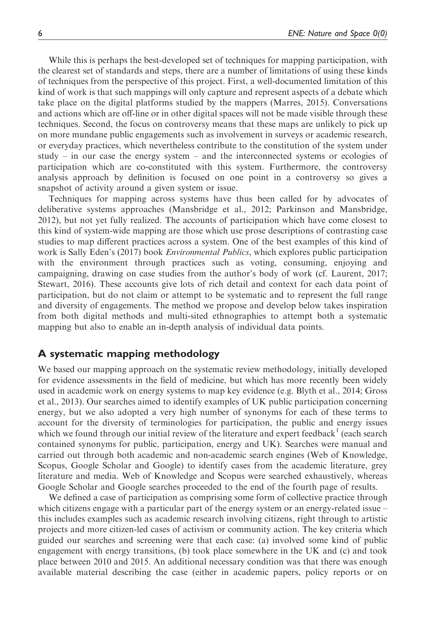While this is perhaps the best-developed set of techniques for mapping participation, with the clearest set of standards and steps, there are a number of limitations of using these kinds of techniques from the perspective of this project. First, a well-documented limitation of this kind of work is that such mappings will only capture and represent aspects of a debate which take place on the digital platforms studied by the mappers (Marres, 2015). Conversations and actions which are off-line or in other digital spaces will not be made visible through these techniques. Second, the focus on controversy means that these maps are unlikely to pick up on more mundane public engagements such as involvement in surveys or academic research, or everyday practices, which nevertheless contribute to the constitution of the system under study – in our case the energy system – and the interconnected systems or ecologies of participation which are co-constituted with this system. Furthermore, the controversy analysis approach by definition is focused on one point in a controversy so gives a snapshot of activity around a given system or issue.

Techniques for mapping across systems have thus been called for by advocates of deliberative systems approaches (Mansbridge et al., 2012; Parkinson and Mansbridge, 2012), but not yet fully realized. The accounts of participation which have come closest to this kind of system-wide mapping are those which use prose descriptions of contrasting case studies to map different practices across a system. One of the best examples of this kind of work is Sally Eden's (2017) book *Environmental Publics*, which explores public participation with the environment through practices such as voting, consuming, enjoying and campaigning, drawing on case studies from the author's body of work (cf. Laurent, 2017; Stewart, 2016). These accounts give lots of rich detail and context for each data point of participation, but do not claim or attempt to be systematic and to represent the full range and diversity of engagements. The method we propose and develop below takes inspiration from both digital methods and multi-sited ethnographies to attempt both a systematic mapping but also to enable an in-depth analysis of individual data points.

# A systematic mapping methodology

We based our mapping approach on the systematic review methodology, initially developed for evidence assessments in the field of medicine, but which has more recently been widely used in academic work on energy systems to map key evidence (e.g. Blyth et al., 2014; Gross et al., 2013). Our searches aimed to identify examples of UK public participation concerning energy, but we also adopted a very high number of synonyms for each of these terms to account for the diversity of terminologies for participation, the public and energy issues which we found through our initial review of the literature and expert feedback  $\frac{1}{1}$  (each search contained synonyms for public, participation, energy and UK). Searches were manual and carried out through both academic and non-academic search engines (Web of Knowledge, Scopus, Google Scholar and Google) to identify cases from the academic literature, grey literature and media. Web of Knowledge and Scopus were searched exhaustively, whereas Google Scholar and Google searches proceeded to the end of the fourth page of results.

We defined a case of participation as comprising some form of collective practice through which citizens engage with a particular part of the energy system or an energy-related issue – this includes examples such as academic research involving citizens, right through to artistic projects and more citizen-led cases of activism or community action. The key criteria which guided our searches and screening were that each case: (a) involved some kind of public engagement with energy transitions, (b) took place somewhere in the UK and (c) and took place between 2010 and 2015. An additional necessary condition was that there was enough available material describing the case (either in academic papers, policy reports or on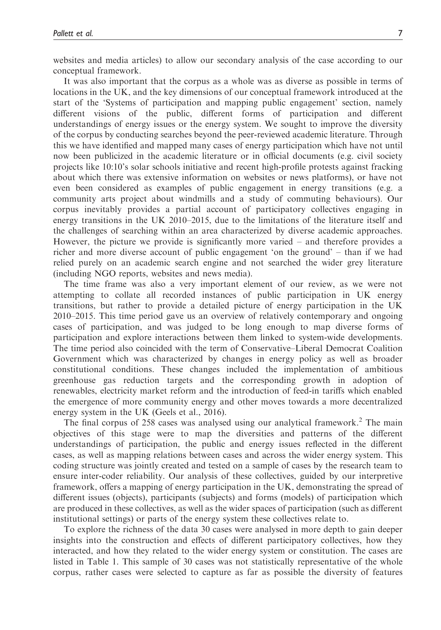websites and media articles) to allow our secondary analysis of the case according to our conceptual framework.

It was also important that the corpus as a whole was as diverse as possible in terms of locations in the UK, and the key dimensions of our conceptual framework introduced at the start of the 'Systems of participation and mapping public engagement' section, namely different visions of the public, different forms of participation and different understandings of energy issues or the energy system. We sought to improve the diversity of the corpus by conducting searches beyond the peer-reviewed academic literature. Through this we have identified and mapped many cases of energy participation which have not until now been publicized in the academic literature or in official documents (e.g. civil society projects like 10:10's solar schools initiative and recent high-profile protests against fracking about which there was extensive information on websites or news platforms), or have not even been considered as examples of public engagement in energy transitions (e.g. a community arts project about windmills and a study of commuting behaviours). Our corpus inevitably provides a partial account of participatory collectives engaging in energy transitions in the UK 2010–2015, due to the limitations of the literature itself and the challenges of searching within an area characterized by diverse academic approaches. However, the picture we provide is significantly more varied – and therefore provides a richer and more diverse account of public engagement 'on the ground' – than if we had relied purely on an academic search engine and not searched the wider grey literature (including NGO reports, websites and news media).

The time frame was also a very important element of our review, as we were not attempting to collate all recorded instances of public participation in UK energy transitions, but rather to provide a detailed picture of energy participation in the UK 2010–2015. This time period gave us an overview of relatively contemporary and ongoing cases of participation, and was judged to be long enough to map diverse forms of participation and explore interactions between them linked to system-wide developments. The time period also coincided with the term of Conservative–Liberal Democrat Coalition Government which was characterized by changes in energy policy as well as broader constitutional conditions. These changes included the implementation of ambitious greenhouse gas reduction targets and the corresponding growth in adoption of renewables, electricity market reform and the introduction of feed-in tariffs which enabled the emergence of more community energy and other moves towards a more decentralized energy system in the UK (Geels et al., 2016).

The final corpus of 258 cases was analysed using our analytical framework.<sup>2</sup> The main objectives of this stage were to map the diversities and patterns of the different understandings of participation, the public and energy issues reflected in the different cases, as well as mapping relations between cases and across the wider energy system. This coding structure was jointly created and tested on a sample of cases by the research team to ensure inter-coder reliability. Our analysis of these collectives, guided by our interpretive framework, offers a mapping of energy participation in the UK, demonstrating the spread of different issues (objects), participants (subjects) and forms (models) of participation which are produced in these collectives, as well as the wider spaces of participation (such as different institutional settings) or parts of the energy system these collectives relate to.

To explore the richness of the data 30 cases were analysed in more depth to gain deeper insights into the construction and effects of different participatory collectives, how they interacted, and how they related to the wider energy system or constitution. The cases are listed in Table 1. This sample of 30 cases was not statistically representative of the whole corpus, rather cases were selected to capture as far as possible the diversity of features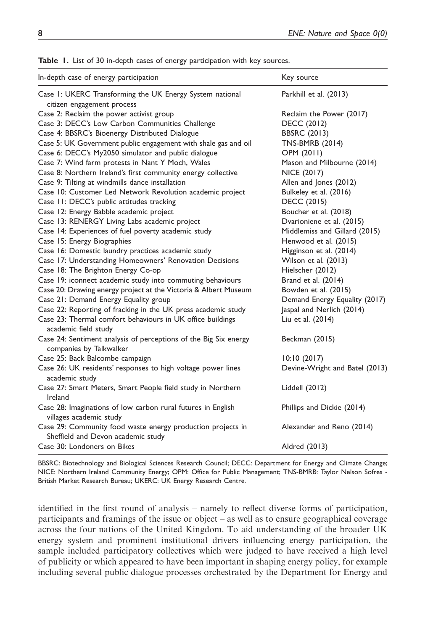| In-depth case of energy participation                                                             | Key source                     |
|---------------------------------------------------------------------------------------------------|--------------------------------|
| Case I: UKERC Transforming the UK Energy System national<br>citizen engagement process            | Parkhill et al. (2013)         |
| Case 2: Reclaim the power activist group                                                          | Reclaim the Power (2017)       |
| Case 3: DECC's Low Carbon Communities Challenge                                                   | <b>DECC (2012)</b>             |
| Case 4: BBSRC's Bioenergy Distributed Dialogue                                                    | <b>BBSRC (2013)</b>            |
| Case 5: UK Government public engagement with shale gas and oil                                    | <b>TNS-BMRB (2014)</b>         |
| Case 6: DECC's My2050 simulator and public dialogue                                               | OPM (2011)                     |
| Case 7: Wind farm protests in Nant Y Moch, Wales                                                  | Mason and Milbourne (2014)     |
| Case 8: Northern Ireland's first community energy collective                                      | NICE (2017)                    |
| Case 9: Tilting at windmills dance installation                                                   | Allen and Jones (2012)         |
| Case 10: Customer Led Network Revolution academic project                                         | Bulkeley et al. (2016)         |
| Case 11: DECC's public attitudes tracking                                                         | DECC (2015)                    |
| Case 12: Energy Babble academic project                                                           | Boucher et al. (2018)          |
| Case 13: RENERGY Living Labs academic project                                                     | Dvarioniene et al. (2015)      |
| Case 14: Experiences of fuel poverty academic study                                               | Middlemiss and Gillard (2015)  |
| Case 15: Energy Biographies                                                                       | Henwood et al. (2015)          |
| Case 16: Domestic laundry practices academic study                                                | Higginson et al. (2014)        |
| Case 17: Understanding Homeowners' Renovation Decisions                                           | Wilson et al. (2013)           |
| Case 18: The Brighton Energy Co-op                                                                | Hielscher (2012)               |
| Case 19: iconnect academic study into commuting behaviours                                        | Brand et al. (2014)            |
| Case 20: Drawing energy project at the Victoria & Albert Museum                                   | Bowden et al. (2015)           |
| Case 21: Demand Energy Equality group                                                             | Demand Energy Equality (2017)  |
| Case 22: Reporting of fracking in the UK press academic study                                     | Jaspal and Nerlich (2014)      |
| Case 23: Thermal comfort behaviours in UK office buildings<br>academic field study                | Liu et al. (2014)              |
| Case 24: Sentiment analysis of perceptions of the Big Six energy<br>companies by Talkwalker       | Beckman (2015)                 |
| Case 25: Back Balcombe campaign                                                                   | 10:10(2017)                    |
| Case 26: UK residents' responses to high voltage power lines<br>academic study                    | Devine-Wright and Batel (2013) |
| Case 27: Smart Meters, Smart People field study in Northern<br>Ireland                            | Liddell (2012)                 |
| Case 28: Imaginations of low carbon rural futures in English<br>villages academic study           | Phillips and Dickie (2014)     |
| Case 29: Community food waste energy production projects in<br>Sheffield and Devon academic study | Alexander and Reno (2014)      |
| Case 30: Londoners on Bikes                                                                       | Aldred (2013)                  |

Table 1. List of 30 in-depth cases of energy participation with key sources.

BBSRC: Biotechnology and Biological Sciences Research Council; DECC: Department for Energy and Climate Change; NICE: Northern Ireland Community Energy; OPM: Office for Public Management; TNS-BMRB: Taylor Nelson Sofres - British Market Research Bureau; UKERC: UK Energy Research Centre.

identified in the first round of analysis – namely to reflect diverse forms of participation, participants and framings of the issue or object – as well as to ensure geographical coverage across the four nations of the United Kingdom. To aid understanding of the broader UK energy system and prominent institutional drivers influencing energy participation, the sample included participatory collectives which were judged to have received a high level of publicity or which appeared to have been important in shaping energy policy, for example including several public dialogue processes orchestrated by the Department for Energy and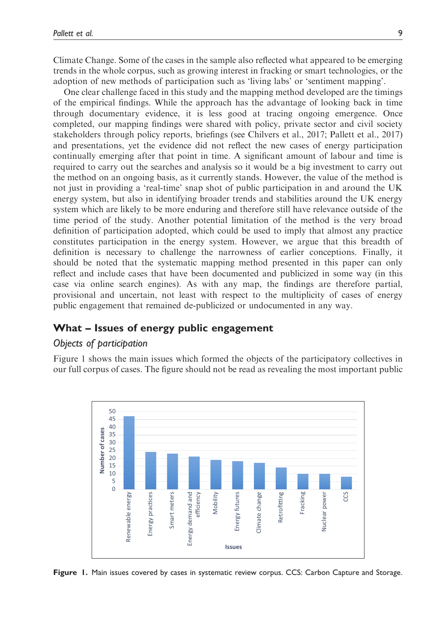Climate Change. Some of the cases in the sample also reflected what appeared to be emerging trends in the whole corpus, such as growing interest in fracking or smart technologies, or the adoption of new methods of participation such as 'living labs' or 'sentiment mapping'.

One clear challenge faced in this study and the mapping method developed are the timings of the empirical findings. While the approach has the advantage of looking back in time through documentary evidence, it is less good at tracing ongoing emergence. Once completed, our mapping findings were shared with policy, private sector and civil society stakeholders through policy reports, briefings (see Chilvers et al., 2017; Pallett et al., 2017) and presentations, yet the evidence did not reflect the new cases of energy participation continually emerging after that point in time. A significant amount of labour and time is required to carry out the searches and analysis so it would be a big investment to carry out the method on an ongoing basis, as it currently stands. However, the value of the method is not just in providing a 'real-time' snap shot of public participation in and around the UK energy system, but also in identifying broader trends and stabilities around the UK energy system which are likely to be more enduring and therefore still have relevance outside of the time period of the study. Another potential limitation of the method is the very broad definition of participation adopted, which could be used to imply that almost any practice constitutes participation in the energy system. However, we argue that this breadth of definition is necessary to challenge the narrowness of earlier conceptions. Finally, it should be noted that the systematic mapping method presented in this paper can only reflect and include cases that have been documented and publicized in some way (in this case via online search engines). As with any map, the findings are therefore partial, provisional and uncertain, not least with respect to the multiplicity of cases of energy public engagement that remained de-publicized or undocumented in any way.

# What – Issues of energy public engagement

# Objects of participation

Figure 1 shows the main issues which formed the objects of the participatory collectives in our full corpus of cases. The figure should not be read as revealing the most important public



Figure 1. Main issues covered by cases in systematic review corpus. CCS: Carbon Capture and Storage.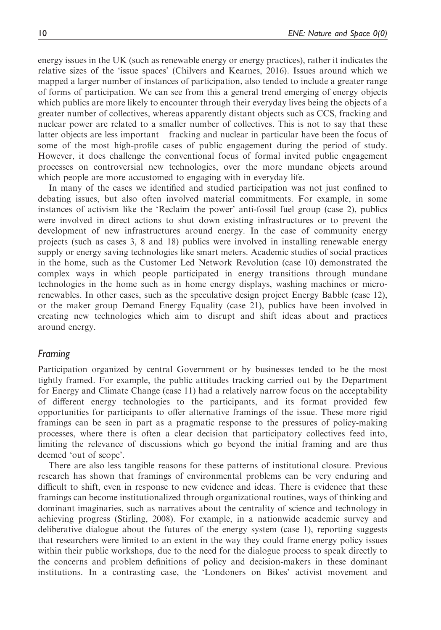energy issues in the UK (such as renewable energy or energy practices), rather it indicates the relative sizes of the 'issue spaces' (Chilvers and Kearnes, 2016). Issues around which we mapped a larger number of instances of participation, also tended to include a greater range of forms of participation. We can see from this a general trend emerging of energy objects which publics are more likely to encounter through their everyday lives being the objects of a greater number of collectives, whereas apparently distant objects such as CCS, fracking and nuclear power are related to a smaller number of collectives. This is not to say that these latter objects are less important – fracking and nuclear in particular have been the focus of some of the most high-profile cases of public engagement during the period of study. However, it does challenge the conventional focus of formal invited public engagement processes on controversial new technologies, over the more mundane objects around which people are more accustomed to engaging with in everyday life.

In many of the cases we identified and studied participation was not just confined to debating issues, but also often involved material commitments. For example, in some instances of activism like the 'Reclaim the power' anti-fossil fuel group (case 2), publics were involved in direct actions to shut down existing infrastructures or to prevent the development of new infrastructures around energy. In the case of community energy projects (such as cases 3, 8 and 18) publics were involved in installing renewable energy supply or energy saving technologies like smart meters. Academic studies of social practices in the home, such as the Customer Led Network Revolution (case 10) demonstrated the complex ways in which people participated in energy transitions through mundane technologies in the home such as in home energy displays, washing machines or microrenewables. In other cases, such as the speculative design project Energy Babble (case 12), or the maker group Demand Energy Equality (case 21), publics have been involved in creating new technologies which aim to disrupt and shift ideas about and practices around energy.

#### Framing

Participation organized by central Government or by businesses tended to be the most tightly framed. For example, the public attitudes tracking carried out by the Department for Energy and Climate Change (case 11) had a relatively narrow focus on the acceptability of different energy technologies to the participants, and its format provided few opportunities for participants to offer alternative framings of the issue. These more rigid framings can be seen in part as a pragmatic response to the pressures of policy-making processes, where there is often a clear decision that participatory collectives feed into, limiting the relevance of discussions which go beyond the initial framing and are thus deemed 'out of scope'.

There are also less tangible reasons for these patterns of institutional closure. Previous research has shown that framings of environmental problems can be very enduring and difficult to shift, even in response to new evidence and ideas. There is evidence that these framings can become institutionalized through organizational routines, ways of thinking and dominant imaginaries, such as narratives about the centrality of science and technology in achieving progress (Stirling, 2008). For example, in a nationwide academic survey and deliberative dialogue about the futures of the energy system (case 1), reporting suggests that researchers were limited to an extent in the way they could frame energy policy issues within their public workshops, due to the need for the dialogue process to speak directly to the concerns and problem definitions of policy and decision-makers in these dominant institutions. In a contrasting case, the 'Londoners on Bikes' activist movement and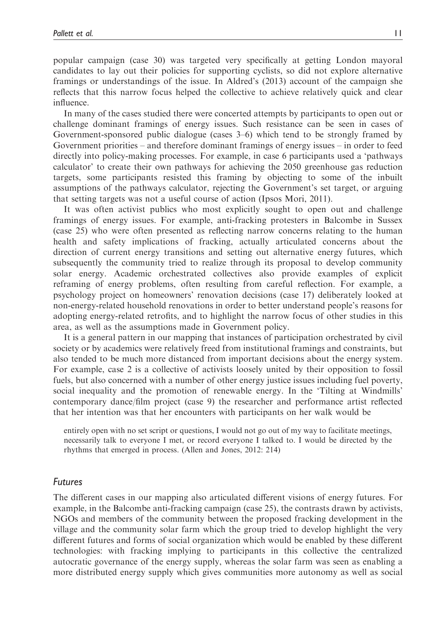popular campaign (case 30) was targeted very specifically at getting London mayoral candidates to lay out their policies for supporting cyclists, so did not explore alternative framings or understandings of the issue. In Aldred's (2013) account of the campaign she reflects that this narrow focus helped the collective to achieve relatively quick and clear influence.

In many of the cases studied there were concerted attempts by participants to open out or challenge dominant framings of energy issues. Such resistance can be seen in cases of Government-sponsored public dialogue (cases 3–6) which tend to be strongly framed by Government priorities – and therefore dominant framings of energy issues – in order to feed directly into policy-making processes. For example, in case 6 participants used a 'pathways calculator' to create their own pathways for achieving the 2050 greenhouse gas reduction targets, some participants resisted this framing by objecting to some of the inbuilt assumptions of the pathways calculator, rejecting the Government's set target, or arguing that setting targets was not a useful course of action (Ipsos Mori, 2011).

It was often activist publics who most explicitly sought to open out and challenge framings of energy issues. For example, anti-fracking protesters in Balcombe in Sussex (case 25) who were often presented as reflecting narrow concerns relating to the human health and safety implications of fracking, actually articulated concerns about the direction of current energy transitions and setting out alternative energy futures, which subsequently the community tried to realize through its proposal to develop community solar energy. Academic orchestrated collectives also provide examples of explicit reframing of energy problems, often resulting from careful reflection. For example, a psychology project on homeowners' renovation decisions (case 17) deliberately looked at non-energy-related household renovations in order to better understand people's reasons for adopting energy-related retrofits, and to highlight the narrow focus of other studies in this area, as well as the assumptions made in Government policy.

It is a general pattern in our mapping that instances of participation orchestrated by civil society or by academics were relatively freed from institutional framings and constraints, but also tended to be much more distanced from important decisions about the energy system. For example, case 2 is a collective of activists loosely united by their opposition to fossil fuels, but also concerned with a number of other energy justice issues including fuel poverty, social inequality and the promotion of renewable energy. In the 'Tilting at Windmills' contemporary dance/film project (case 9) the researcher and performance artist reflected that her intention was that her encounters with participants on her walk would be

entirely open with no set script or questions, I would not go out of my way to facilitate meetings, necessarily talk to everyone I met, or record everyone I talked to. I would be directed by the rhythms that emerged in process. (Allen and Jones, 2012: 214)

### Futures

The different cases in our mapping also articulated different visions of energy futures. For example, in the Balcombe anti-fracking campaign (case 25), the contrasts drawn by activists, NGOs and members of the community between the proposed fracking development in the village and the community solar farm which the group tried to develop highlight the very different futures and forms of social organization which would be enabled by these different technologies: with fracking implying to participants in this collective the centralized autocratic governance of the energy supply, whereas the solar farm was seen as enabling a more distributed energy supply which gives communities more autonomy as well as social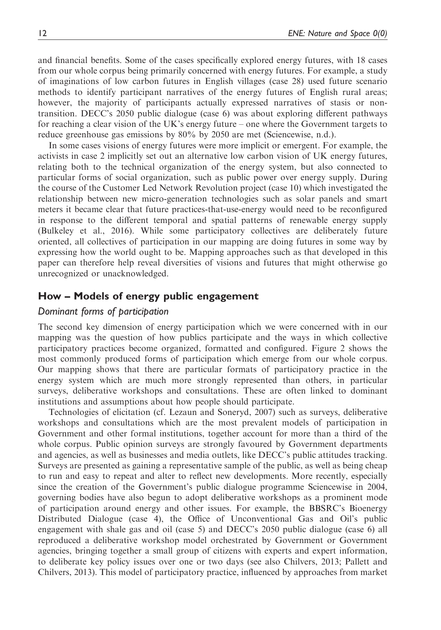and financial benefits. Some of the cases specifically explored energy futures, with 18 cases from our whole corpus being primarily concerned with energy futures. For example, a study of imaginations of low carbon futures in English villages (case 28) used future scenario methods to identify participant narratives of the energy futures of English rural areas; however, the majority of participants actually expressed narratives of stasis or nontransition. DECC's 2050 public dialogue (case 6) was about exploring different pathways for reaching a clear vision of the UK's energy future – one where the Government targets to reduce greenhouse gas emissions by 80% by 2050 are met (Sciencewise, n.d.).

In some cases visions of energy futures were more implicit or emergent. For example, the activists in case 2 implicitly set out an alternative low carbon vision of UK energy futures, relating both to the technical organization of the energy system, but also connected to particular forms of social organization, such as public power over energy supply. During the course of the Customer Led Network Revolution project (case 10) which investigated the relationship between new micro-generation technologies such as solar panels and smart meters it became clear that future practices-that-use-energy would need to be reconfigured in response to the different temporal and spatial patterns of renewable energy supply (Bulkeley et al., 2016). While some participatory collectives are deliberately future oriented, all collectives of participation in our mapping are doing futures in some way by expressing how the world ought to be. Mapping approaches such as that developed in this paper can therefore help reveal diversities of visions and futures that might otherwise go unrecognized or unacknowledged.

# How – Models of energy public engagement

# Dominant forms of participation

The second key dimension of energy participation which we were concerned with in our mapping was the question of how publics participate and the ways in which collective participatory practices become organized, formatted and configured. Figure 2 shows the most commonly produced forms of participation which emerge from our whole corpus. Our mapping shows that there are particular formats of participatory practice in the energy system which are much more strongly represented than others, in particular surveys, deliberative workshops and consultations. These are often linked to dominant institutions and assumptions about how people should participate.

Technologies of elicitation (cf. Lezaun and Soneryd, 2007) such as surveys, deliberative workshops and consultations which are the most prevalent models of participation in Government and other formal institutions, together account for more than a third of the whole corpus. Public opinion surveys are strongly favoured by Government departments and agencies, as well as businesses and media outlets, like DECC's public attitudes tracking. Surveys are presented as gaining a representative sample of the public, as well as being cheap to run and easy to repeat and alter to reflect new developments. More recently, especially since the creation of the Government's public dialogue programme Sciencewise in 2004, governing bodies have also begun to adopt deliberative workshops as a prominent mode of participation around energy and other issues. For example, the BBSRC's Bioenergy Distributed Dialogue (case 4), the Office of Unconventional Gas and Oil's public engagement with shale gas and oil (case 5) and DECC's 2050 public dialogue (case 6) all reproduced a deliberative workshop model orchestrated by Government or Government agencies, bringing together a small group of citizens with experts and expert information, to deliberate key policy issues over one or two days (see also Chilvers, 2013; Pallett and Chilvers, 2013). This model of participatory practice, influenced by approaches from market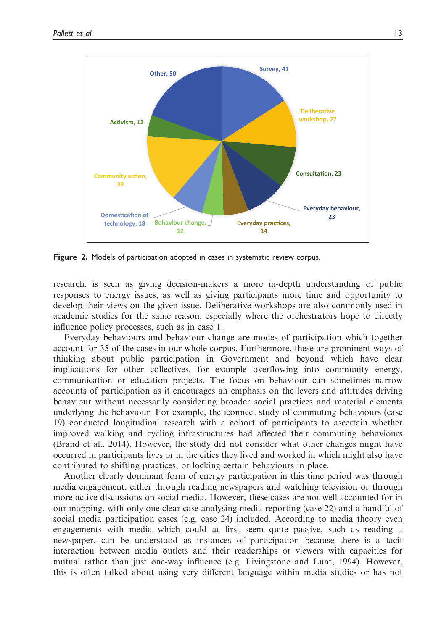

Figure 2. Models of participation adopted in cases in systematic review corpus.

research, is seen as giving decision-makers a more in-depth understanding of public responses to energy issues, as well as giving participants more time and opportunity to develop their views on the given issue. Deliberative workshops are also commonly used in academic studies for the same reason, especially where the orchestrators hope to directly influence policy processes, such as in case 1.

Everyday behaviours and behaviour change are modes of participation which together account for 35 of the cases in our whole corpus. Furthermore, these are prominent ways of thinking about public participation in Government and beyond which have clear implications for other collectives, for example overflowing into community energy, communication or education projects. The focus on behaviour can sometimes narrow accounts of participation as it encourages an emphasis on the levers and attitudes driving behaviour without necessarily considering broader social practices and material elements underlying the behaviour. For example, the iconnect study of commuting behaviours (case 19) conducted longitudinal research with a cohort of participants to ascertain whether improved walking and cycling infrastructures had affected their commuting behaviours (Brand et al., 2014). However, the study did not consider what other changes might have occurred in participants lives or in the cities they lived and worked in which might also have contributed to shifting practices, or locking certain behaviours in place.

Another clearly dominant form of energy participation in this time period was through media engagement, either through reading newspapers and watching television or through more active discussions on social media. However, these cases are not well accounted for in our mapping, with only one clear case analysing media reporting (case 22) and a handful of social media participation cases (e.g. case 24) included. According to media theory even engagements with media which could at first seem quite passive, such as reading a newspaper, can be understood as instances of participation because there is a tacit interaction between media outlets and their readerships or viewers with capacities for mutual rather than just one-way influence (e.g. Livingstone and Lunt, 1994). However, this is often talked about using very different language within media studies or has not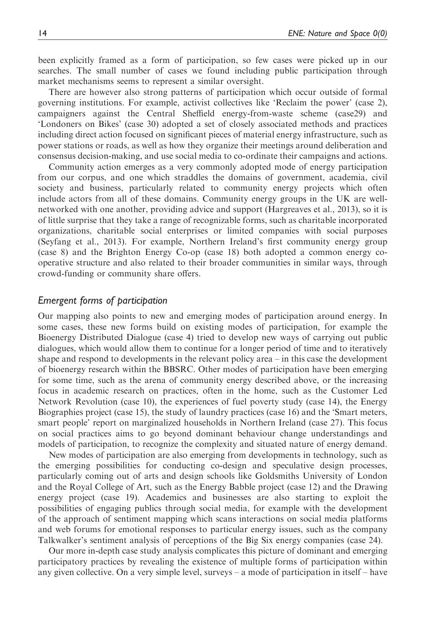been explicitly framed as a form of participation, so few cases were picked up in our searches. The small number of cases we found including public participation through market mechanisms seems to represent a similar oversight.

There are however also strong patterns of participation which occur outside of formal governing institutions. For example, activist collectives like 'Reclaim the power' (case 2), campaigners against the Central Sheffield energy-from-waste scheme (case29) and 'Londoners on Bikes' (case 30) adopted a set of closely associated methods and practices including direct action focused on significant pieces of material energy infrastructure, such as power stations or roads, as well as how they organize their meetings around deliberation and consensus decision-making, and use social media to co-ordinate their campaigns and actions.

Community action emerges as a very commonly adopted mode of energy participation from our corpus, and one which straddles the domains of government, academia, civil society and business, particularly related to community energy projects which often include actors from all of these domains. Community energy groups in the UK are wellnetworked with one another, providing advice and support (Hargreaves et al., 2013), so it is of little surprise that they take a range of recognizable forms, such as charitable incorporated organizations, charitable social enterprises or limited companies with social purposes (Seyfang et al., 2013). For example, Northern Ireland's first community energy group (case 8) and the Brighton Energy Co-op (case 18) both adopted a common energy cooperative structure and also related to their broader communities in similar ways, through crowd-funding or community share offers.

#### Emergent forms of participation

Our mapping also points to new and emerging modes of participation around energy. In some cases, these new forms build on existing modes of participation, for example the Bioenergy Distributed Dialogue (case 4) tried to develop new ways of carrying out public dialogues, which would allow them to continue for a longer period of time and to iteratively shape and respond to developments in the relevant policy area – in this case the development of bioenergy research within the BBSRC. Other modes of participation have been emerging for some time, such as the arena of community energy described above, or the increasing focus in academic research on practices, often in the home, such as the Customer Led Network Revolution (case 10), the experiences of fuel poverty study (case 14), the Energy Biographies project (case 15), the study of laundry practices (case 16) and the 'Smart meters, smart people' report on marginalized households in Northern Ireland (case 27). This focus on social practices aims to go beyond dominant behaviour change understandings and models of participation, to recognize the complexity and situated nature of energy demand.

New modes of participation are also emerging from developments in technology, such as the emerging possibilities for conducting co-design and speculative design processes, particularly coming out of arts and design schools like Goldsmiths University of London and the Royal College of Art, such as the Energy Babble project (case 12) and the Drawing energy project (case 19). Academics and businesses are also starting to exploit the possibilities of engaging publics through social media, for example with the development of the approach of sentiment mapping which scans interactions on social media platforms and web forums for emotional responses to particular energy issues, such as the company Talkwalker's sentiment analysis of perceptions of the Big Six energy companies (case 24).

Our more in-depth case study analysis complicates this picture of dominant and emerging participatory practices by revealing the existence of multiple forms of participation within any given collective. On a very simple level, surveys – a mode of participation in itself – have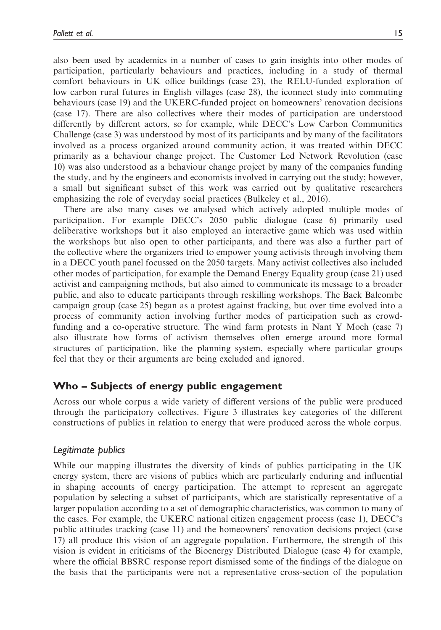also been used by academics in a number of cases to gain insights into other modes of participation, particularly behaviours and practices, including in a study of thermal comfort behaviours in UK office buildings (case 23), the RELU-funded exploration of low carbon rural futures in English villages (case 28), the iconnect study into commuting behaviours (case 19) and the UKERC-funded project on homeowners' renovation decisions (case 17). There are also collectives where their modes of participation are understood differently by different actors, so for example, while DECC's Low Carbon Communities Challenge (case 3) was understood by most of its participants and by many of the facilitators involved as a process organized around community action, it was treated within DECC primarily as a behaviour change project. The Customer Led Network Revolution (case 10) was also understood as a behaviour change project by many of the companies funding the study, and by the engineers and economists involved in carrying out the study; however, a small but significant subset of this work was carried out by qualitative researchers emphasizing the role of everyday social practices (Bulkeley et al., 2016).

There are also many cases we analysed which actively adopted multiple modes of participation. For example DECC's 2050 public dialogue (case 6) primarily used deliberative workshops but it also employed an interactive game which was used within the workshops but also open to other participants, and there was also a further part of the collective where the organizers tried to empower young activists through involving them in a DECC youth panel focussed on the 2050 targets. Many activist collectives also included other modes of participation, for example the Demand Energy Equality group (case 21) used activist and campaigning methods, but also aimed to communicate its message to a broader public, and also to educate participants through reskilling workshops. The Back Balcombe campaign group (case 25) began as a protest against fracking, but over time evolved into a process of community action involving further modes of participation such as crowdfunding and a co-operative structure. The wind farm protests in Nant Y Moch (case 7) also illustrate how forms of activism themselves often emerge around more formal structures of participation, like the planning system, especially where particular groups feel that they or their arguments are being excluded and ignored.

# Who – Subjects of energy public engagement

Across our whole corpus a wide variety of different versions of the public were produced through the participatory collectives. Figure 3 illustrates key categories of the different constructions of publics in relation to energy that were produced across the whole corpus.

# Legitimate publics

While our mapping illustrates the diversity of kinds of publics participating in the UK energy system, there are visions of publics which are particularly enduring and influential in shaping accounts of energy participation. The attempt to represent an aggregate population by selecting a subset of participants, which are statistically representative of a larger population according to a set of demographic characteristics, was common to many of the cases. For example, the UKERC national citizen engagement process (case 1), DECC's public attitudes tracking (case 11) and the homeowners' renovation decisions project (case 17) all produce this vision of an aggregate population. Furthermore, the strength of this vision is evident in criticisms of the Bioenergy Distributed Dialogue (case 4) for example, where the official BBSRC response report dismissed some of the findings of the dialogue on the basis that the participants were not a representative cross-section of the population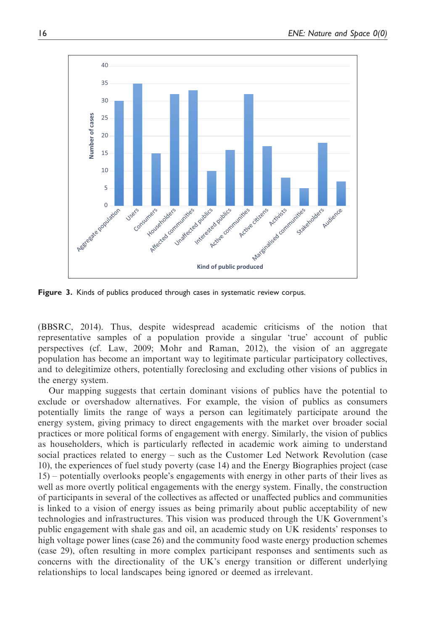

Figure 3. Kinds of publics produced through cases in systematic review corpus.

(BBSRC, 2014). Thus, despite widespread academic criticisms of the notion that representative samples of a population provide a singular 'true' account of public perspectives (cf. Law, 2009; Mohr and Raman, 2012), the vision of an aggregate population has become an important way to legitimate particular participatory collectives, and to delegitimize others, potentially foreclosing and excluding other visions of publics in the energy system.

Our mapping suggests that certain dominant visions of publics have the potential to exclude or overshadow alternatives. For example, the vision of publics as consumers potentially limits the range of ways a person can legitimately participate around the energy system, giving primacy to direct engagements with the market over broader social practices or more political forms of engagement with energy. Similarly, the vision of publics as householders, which is particularly reflected in academic work aiming to understand social practices related to energy – such as the Customer Led Network Revolution (case 10), the experiences of fuel study poverty (case 14) and the Energy Biographies project (case 15) – potentially overlooks people's engagements with energy in other parts of their lives as well as more overtly political engagements with the energy system. Finally, the construction of participants in several of the collectives as affected or unaffected publics and communities is linked to a vision of energy issues as being primarily about public acceptability of new technologies and infrastructures. This vision was produced through the UK Government's public engagement with shale gas and oil, an academic study on UK residents' responses to high voltage power lines (case 26) and the community food waste energy production schemes (case 29), often resulting in more complex participant responses and sentiments such as concerns with the directionality of the UK's energy transition or different underlying relationships to local landscapes being ignored or deemed as irrelevant.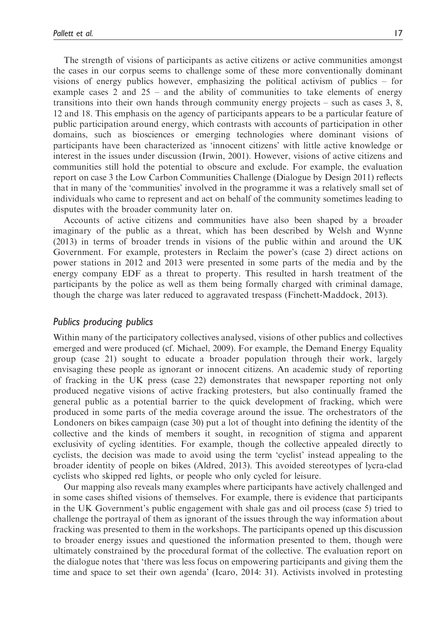The strength of visions of participants as active citizens or active communities amongst the cases in our corpus seems to challenge some of these more conventionally dominant visions of energy publics however, emphasizing the political activism of publics – for example cases 2 and 25 – and the ability of communities to take elements of energy transitions into their own hands through community energy projects – such as cases 3, 8, 12 and 18. This emphasis on the agency of participants appears to be a particular feature of public participation around energy, which contrasts with accounts of participation in other domains, such as biosciences or emerging technologies where dominant visions of participants have been characterized as 'innocent citizens' with little active knowledge or interest in the issues under discussion (Irwin, 2001). However, visions of active citizens and communities still hold the potential to obscure and exclude. For example, the evaluation report on case 3 the Low Carbon Communities Challenge (Dialogue by Design 2011) reflects that in many of the 'communities' involved in the programme it was a relatively small set of individuals who came to represent and act on behalf of the community sometimes leading to disputes with the broader community later on.

Accounts of active citizens and communities have also been shaped by a broader imaginary of the public as a threat, which has been described by Welsh and Wynne (2013) in terms of broader trends in visions of the public within and around the UK Government. For example, protesters in Reclaim the power's (case 2) direct actions on power stations in 2012 and 2013 were presented in some parts of the media and by the energy company EDF as a threat to property. This resulted in harsh treatment of the participants by the police as well as them being formally charged with criminal damage, though the charge was later reduced to aggravated trespass (Finchett-Maddock, 2013).

#### Publics producing publics

Within many of the participatory collectives analysed, visions of other publics and collectives emerged and were produced (cf. Michael, 2009). For example, the Demand Energy Equality group (case 21) sought to educate a broader population through their work, largely envisaging these people as ignorant or innocent citizens. An academic study of reporting of fracking in the UK press (case 22) demonstrates that newspaper reporting not only produced negative visions of active fracking protesters, but also continually framed the general public as a potential barrier to the quick development of fracking, which were produced in some parts of the media coverage around the issue. The orchestrators of the Londoners on bikes campaign (case 30) put a lot of thought into defining the identity of the collective and the kinds of members it sought, in recognition of stigma and apparent exclusivity of cycling identities. For example, though the collective appealed directly to cyclists, the decision was made to avoid using the term 'cyclist' instead appealing to the broader identity of people on bikes (Aldred, 2013). This avoided stereotypes of lycra-clad cyclists who skipped red lights, or people who only cycled for leisure.

Our mapping also reveals many examples where participants have actively challenged and in some cases shifted visions of themselves. For example, there is evidence that participants in the UK Government's public engagement with shale gas and oil process (case 5) tried to challenge the portrayal of them as ignorant of the issues through the way information about fracking was presented to them in the workshops. The participants opened up this discussion to broader energy issues and questioned the information presented to them, though were ultimately constrained by the procedural format of the collective. The evaluation report on the dialogue notes that 'there was less focus on empowering participants and giving them the time and space to set their own agenda' (Icaro, 2014: 31). Activists involved in protesting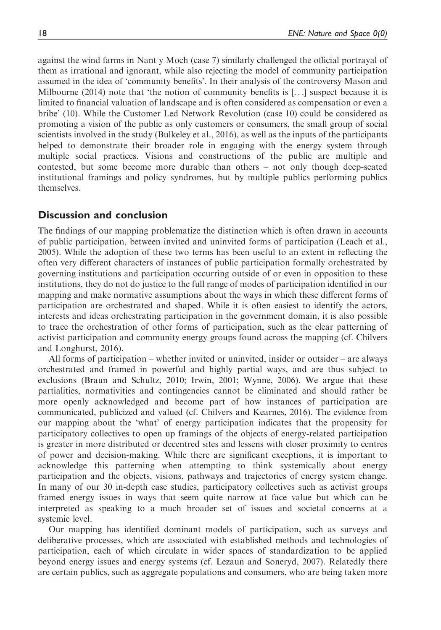against the wind farms in Nant y Moch (case 7) similarly challenged the official portrayal of them as irrational and ignorant, while also rejecting the model of community participation assumed in the idea of 'community benefits'. In their analysis of the controversy Mason and Milbourne (2014) note that 'the notion of community benefits is  $[\ldots]$  suspect because it is limited to financial valuation of landscape and is often considered as compensation or even a bribe' (10). While the Customer Led Network Revolution (case 10) could be considered as promoting a vision of the public as only customers or consumers, the small group of social scientists involved in the study (Bulkeley et al., 2016), as well as the inputs of the participants helped to demonstrate their broader role in engaging with the energy system through multiple social practices. Visions and constructions of the public are multiple and contested, but some become more durable than others – not only though deep-seated institutional framings and policy syndromes, but by multiple publics performing publics themselves.

# Discussion and conclusion

The findings of our mapping problematize the distinction which is often drawn in accounts of public participation, between invited and uninvited forms of participation (Leach et al., 2005). While the adoption of these two terms has been useful to an extent in reflecting the often very different characters of instances of public participation formally orchestrated by governing institutions and participation occurring outside of or even in opposition to these institutions, they do not do justice to the full range of modes of participation identified in our mapping and make normative assumptions about the ways in which these different forms of participation are orchestrated and shaped. While it is often easiest to identify the actors, interests and ideas orchestrating participation in the government domain, it is also possible to trace the orchestration of other forms of participation, such as the clear patterning of activist participation and community energy groups found across the mapping (cf. Chilvers and Longhurst, 2016).

All forms of participation – whether invited or uninvited, insider or outsider – are always orchestrated and framed in powerful and highly partial ways, and are thus subject to exclusions (Braun and Schultz, 2010; Irwin, 2001; Wynne, 2006). We argue that these partialities, normativities and contingencies cannot be eliminated and should rather be more openly acknowledged and become part of how instances of participation are communicated, publicized and valued (cf. Chilvers and Kearnes, 2016). The evidence from our mapping about the 'what' of energy participation indicates that the propensity for participatory collectives to open up framings of the objects of energy-related participation is greater in more distributed or decentred sites and lessens with closer proximity to centres of power and decision-making. While there are significant exceptions, it is important to acknowledge this patterning when attempting to think systemically about energy participation and the objects, visions, pathways and trajectories of energy system change. In many of our 30 in-depth case studies, participatory collectives such as activist groups framed energy issues in ways that seem quite narrow at face value but which can be interpreted as speaking to a much broader set of issues and societal concerns at a systemic level.

Our mapping has identified dominant models of participation, such as surveys and deliberative processes, which are associated with established methods and technologies of participation, each of which circulate in wider spaces of standardization to be applied beyond energy issues and energy systems (cf. Lezaun and Soneryd, 2007). Relatedly there are certain publics, such as aggregate populations and consumers, who are being taken more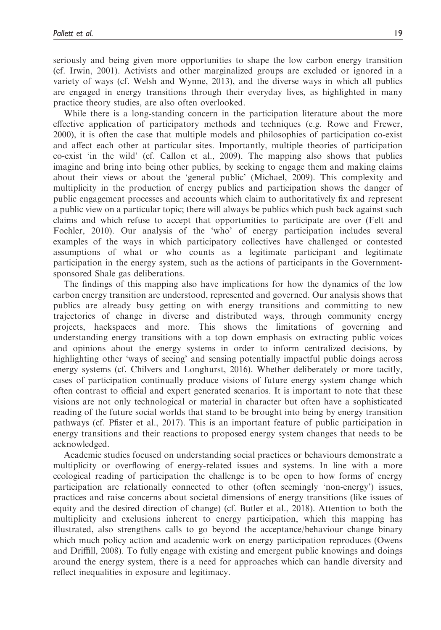seriously and being given more opportunities to shape the low carbon energy transition (cf. Irwin, 2001). Activists and other marginalized groups are excluded or ignored in a variety of ways (cf. Welsh and Wynne, 2013), and the diverse ways in which all publics are engaged in energy transitions through their everyday lives, as highlighted in many practice theory studies, are also often overlooked.

While there is a long-standing concern in the participation literature about the more effective application of participatory methods and techniques (e.g. Rowe and Frewer, 2000), it is often the case that multiple models and philosophies of participation co-exist and affect each other at particular sites. Importantly, multiple theories of participation co-exist 'in the wild' (cf. Callon et al., 2009). The mapping also shows that publics imagine and bring into being other publics, by seeking to engage them and making claims about their views or about the 'general public' (Michael, 2009). This complexity and multiplicity in the production of energy publics and participation shows the danger of public engagement processes and accounts which claim to authoritatively fix and represent a public view on a particular topic; there will always be publics which push back against such claims and which refuse to accept that opportunities to participate are over (Felt and Fochler, 2010). Our analysis of the 'who' of energy participation includes several examples of the ways in which participatory collectives have challenged or contested assumptions of what or who counts as a legitimate participant and legitimate participation in the energy system, such as the actions of participants in the Governmentsponsored Shale gas deliberations.

The findings of this mapping also have implications for how the dynamics of the low carbon energy transition are understood, represented and governed. Our analysis shows that publics are already busy getting on with energy transitions and committing to new trajectories of change in diverse and distributed ways, through community energy projects, hackspaces and more. This shows the limitations of governing and understanding energy transitions with a top down emphasis on extracting public voices and opinions about the energy systems in order to inform centralized decisions, by highlighting other 'ways of seeing' and sensing potentially impactful public doings across energy systems (cf. Chilvers and Longhurst, 2016). Whether deliberately or more tacitly, cases of participation continually produce visions of future energy system change which often contrast to official and expert generated scenarios. It is important to note that these visions are not only technological or material in character but often have a sophisticated reading of the future social worlds that stand to be brought into being by energy transition pathways (cf. Pfister et al., 2017). This is an important feature of public participation in energy transitions and their reactions to proposed energy system changes that needs to be acknowledged.

Academic studies focused on understanding social practices or behaviours demonstrate a multiplicity or overflowing of energy-related issues and systems. In line with a more ecological reading of participation the challenge is to be open to how forms of energy participation are relationally connected to other (often seemingly 'non-energy') issues, practices and raise concerns about societal dimensions of energy transitions (like issues of equity and the desired direction of change) (cf. Butler et al., 2018). Attention to both the multiplicity and exclusions inherent to energy participation, which this mapping has illustrated, also strengthens calls to go beyond the acceptance/behaviour change binary which much policy action and academic work on energy participation reproduces (Owens and Driffill, 2008). To fully engage with existing and emergent public knowings and doings around the energy system, there is a need for approaches which can handle diversity and reflect inequalities in exposure and legitimacy.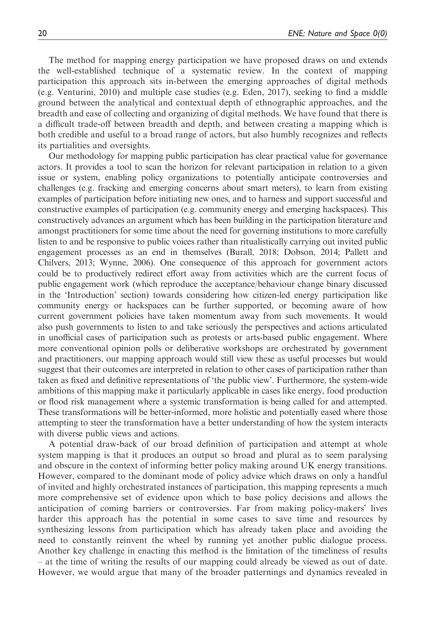The method for mapping energy participation we have proposed draws on and extends the well-established technique of a systematic review. In the context of mapping participation this approach sits in-between the emerging approaches of digital methods (e.g. Venturini, 2010) and multiple case studies (e.g. Eden, 2017), seeking to find a middle ground between the analytical and contextual depth of ethnographic approaches, and the breadth and ease of collecting and organizing of digital methods. We have found that there is a difficult trade-off between breadth and depth, and between creating a mapping which is both credible and useful to a broad range of actors, but also humbly recognizes and reflects its partialities and oversights.

Our methodology for mapping public participation has clear practical value for governance actors. It provides a tool to scan the horizon for relevant participation in relation to a given issue or system, enabling policy organizations to potentially anticipate controversies and challenges (e.g. fracking and emerging concerns about smart meters), to learn from existing examples of participation before initiating new ones, and to harness and support successful and constructive examples of participation (e.g. community energy and emerging hackspaces). This constructively advances an argument which has been building in the participation literature and amongst practitioners for some time about the need for governing institutions to more carefully listen to and be responsive to public voices rather than ritualistically carrying out invited public engagement processes as an end in themselves (Burall, 2018; Dobson, 2014; Pallett and Chilvers, 2013; Wynne, 2006). One consequence of this approach for government actors could be to productively redirect effort away from activities which are the current focus of public engagement work (which reproduce the acceptance/behaviour change binary discussed in the 'Introduction' section) towards considering how citizen-led energy participation like community energy or hackspaces can be further supported, or becoming aware of how current government policies have taken momentum away from such movements. It would also push governments to listen to and take seriously the perspectives and actions articulated in unofficial cases of participation such as protests or arts-based public engagement. Where more conventional opinion polls or deliberative workshops are orchestrated by government and practitioners, our mapping approach would still view these as useful processes but would suggest that their outcomes are interpreted in relation to other cases of participation rather than taken as fixed and definitive representations of 'the public view'. Furthermore, the system-wide ambitions of this mapping make it particularly applicable in cases like energy, food production or flood risk management where a systemic transformation is being called for and attempted. These transformations will be better-informed, more holistic and potentially eased where those attempting to steer the transformation have a better understanding of how the system interacts with diverse public views and actions.

A potential draw-back of our broad definition of participation and attempt at whole system mapping is that it produces an output so broad and plural as to seem paralysing and obscure in the context of informing better policy making around UK energy transitions. However, compared to the dominant mode of policy advice which draws on only a handful of invited and highly orchestrated instances of participation, this mapping represents a much more comprehensive set of evidence upon which to base policy decisions and allows the anticipation of coming barriers or controversies. Far from making policy-makers' lives harder this approach has the potential in some cases to save time and resources by synthesizing lessons from participation which has already taken place and avoiding the need to constantly reinvent the wheel by running yet another public dialogue process. Another key challenge in enacting this method is the limitation of the timeliness of results – at the time of writing the results of our mapping could already be viewed as out of date. However, we would argue that many of the broader patternings and dynamics revealed in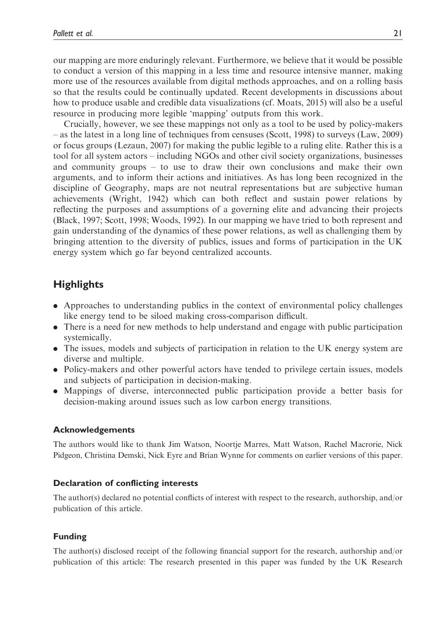our mapping are more enduringly relevant. Furthermore, we believe that it would be possible to conduct a version of this mapping in a less time and resource intensive manner, making more use of the resources available from digital methods approaches, and on a rolling basis so that the results could be continually updated. Recent developments in discussions about how to produce usable and credible data visualizations (cf. Moats, 2015) will also be a useful resource in producing more legible 'mapping' outputs from this work.

Crucially, however, we see these mappings not only as a tool to be used by policy-makers – as the latest in a long line of techniques from censuses (Scott, 1998) to surveys (Law, 2009) or focus groups (Lezaun, 2007) for making the public legible to a ruling elite. Rather this is a tool for all system actors – including NGOs and other civil society organizations, businesses and community groups – to use to draw their own conclusions and make their own arguments, and to inform their actions and initiatives. As has long been recognized in the discipline of Geography, maps are not neutral representations but are subjective human achievements (Wright, 1942) which can both reflect and sustain power relations by reflecting the purposes and assumptions of a governing elite and advancing their projects (Black, 1997; Scott, 1998; Woods, 1992). In our mapping we have tried to both represent and gain understanding of the dynamics of these power relations, as well as challenging them by bringing attention to the diversity of publics, issues and forms of participation in the UK energy system which go far beyond centralized accounts.

# **Highlights**

- . Approaches to understanding publics in the context of environmental policy challenges like energy tend to be siloed making cross-comparison difficult.
- . There is a need for new methods to help understand and engage with public participation systemically.
- . The issues, models and subjects of participation in relation to the UK energy system are diverse and multiple.
- . Policy-makers and other powerful actors have tended to privilege certain issues, models and subjects of participation in decision-making.
- . Mappings of diverse, interconnected public participation provide a better basis for decision-making around issues such as low carbon energy transitions.

### Acknowledgements

The authors would like to thank Jim Watson, Noortje Marres, Matt Watson, Rachel Macrorie, Nick Pidgeon, Christina Demski, Nick Eyre and Brian Wynne for comments on earlier versions of this paper.

# Declaration of conflicting interests

The author(s) declared no potential conflicts of interest with respect to the research, authorship, and/or publication of this article.

# Funding

The author(s) disclosed receipt of the following financial support for the research, authorship and/or publication of this article: The research presented in this paper was funded by the UK Research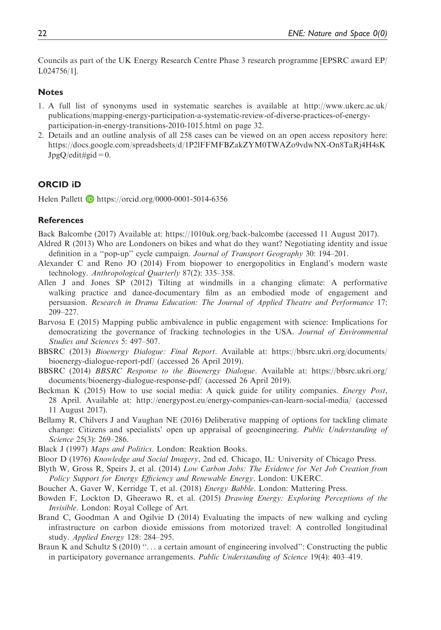Councils as part of the UK Energy Research Centre Phase 3 research programme [EPSRC award EP/ L024756/1].

#### **Notes**

- 1. A full list of synonyms used in systematic searches is available at [http://www.ukerc.ac.uk/](http://www.ukerc.ac.uk/publications/mapping-energy-participation-a-systematic-review-of-diverse-practices-of-energy-participation-in-energy-transitions-2010-1015.html) [publications/mapping-energy-participation-a-systematic-review-of-diverse-practices-of-energy](http://www.ukerc.ac.uk/publications/mapping-energy-participation-a-systematic-review-of-diverse-practices-of-energy-participation-in-energy-transitions-2010-1015.html)[participation-in-energy-transitions-2010-1015.html](http://www.ukerc.ac.uk/publications/mapping-energy-participation-a-systematic-review-of-diverse-practices-of-energy-participation-in-energy-transitions-2010-1015.html) on page 32.
- 2. Details and an outline analysis of all 258 cases can be viewed on an open access repository here: [https://docs.google.com/spreadsheets/d/1P2lFFMFBZakZYM0TWAZo9vdwNX-On8TaRj4H4sK](https://docs.google.com/spreadsheets/d/1P2lFFMFBZakZYM0TWAZo9vdwNX-On8TaRj4H4sKJpgQ/edit#gid=0)  $JpgQ/edit\#gid=0.$

#### ORCID iD

Helen Pallett  $\blacksquare$  https://orcid.org/0000-0001-5014-6356

#### **References**

Back Balcombe (2017) Available at:<https://1010uk.org/back-balcombe> (accessed 11 August 2017).

- Aldred R (2013) Who are Londoners on bikes and what do they want? Negotiating identity and issue definition in a ''pop-up'' cycle campaign. Journal of Transport Geography 30: 194–201.
- Alexander C and Reno JO (2014) From biopower to energopolitics in England's modern waste technology. Anthropological Quarterly 87(2): 335–358.
- Allen J and Jones SP (2012) Tilting at windmills in a changing climate: A performative walking practice and dance-documentary film as an embodied mode of engagement and persuasion. Research in Drama Education: The Journal of Applied Theatre and Performance 17: 209–227.
- Barvosa E (2015) Mapping public ambivalence in public engagement with science: Implications for democratizing the governance of fracking technologies in the USA. Journal of Environmental Studies and Sciences 5: 497–507.
- BBSRC (2013) Bioenergy Dialogue: Final Report. Available at: https://bbsrc.ukri.org/documents/ bioenergy-dialogue-report-pdf/ (accessed 26 April 2019).
- BBSRC (2014) BBSRC Response to the Bioenergy Dialogue. Available at: https://bbsrc.ukri.org/ documents/bioenergy-dialogue-response-pdf/ (accessed 26 April 2019).
- Beckman K (2015) How to use social media: A quick guide for utility companies. Energy Post, 28 April. Available at:<http://energypost.eu/energy-companies-can-learn-social-media/> (accessed 11 August 2017).
- Bellamy R, Chilvers J and Vaughan NE (2016) Deliberative mapping of options for tackling climate change: Citizens and specialists' open up appraisal of geoengineering. Public Understanding of Science 25(3): 269–286.
- Black J (1997) Maps and Politics. London: Reaktion Books.
- Bloor D (1976) Knowledge and Social Imagery, 2nd ed. Chicago, IL: University of Chicago Press.
- Blyth W, Gross R, Speirs J, et al. (2014) Low Carbon Jobs: The Evidence for Net Job Creation from Policy Support for Energy Efficiency and Renewable Energy. London: UKERC.
- Boucher A, Gaver W, Kerridge T, et al. (2018) Energy Babble. London: Mattering Press.
- Bowden F, Lockton D, Gheerawo R, et al. (2015) Drawing Energy: Exploring Perceptions of the Invisible. London: Royal College of Art.
- Brand C, Goodman A and Ogilvie D (2014) Evaluating the impacts of new walking and cycling infrastructure on carbon dioxide emissions from motorized travel: A controlled longitudinal study. Applied Energy 128: 284–295.
- Braun K and Schultz S (2010) "... a certain amount of engineering involved": Constructing the public in participatory governance arrangements. Public Understanding of Science 19(4): 403–419.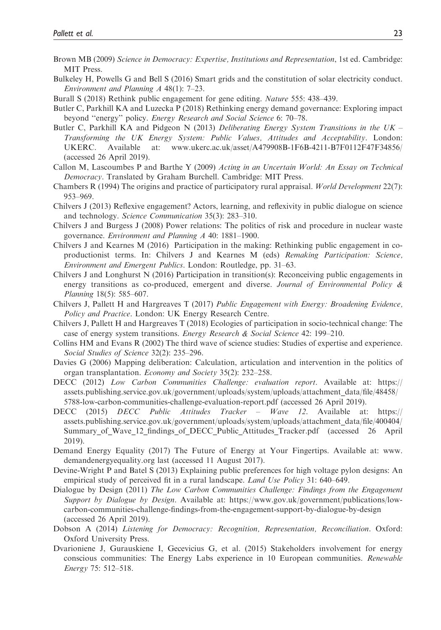- Brown MB (2009) Science in Democracy: Expertise, Institutions and Representation, 1st ed. Cambridge: MIT Press.
- Bulkeley H, Powells G and Bell S (2016) Smart grids and the constitution of solar electricity conduct. Environment and Planning A 48(1): 7–23.
- Burall S (2018) Rethink public engagement for gene editing. Nature 555: 438–439.
- Butler C, Parkhill KA and Luzecka P (2018) Rethinking energy demand governance: Exploring impact beyond "energy" policy. Energy Research and Social Science 6: 70–78.
- Butler C, Parkhill KA and Pidgeon N (2013) Deliberating Energy System Transitions in the UK Transforming the UK Energy System: Public Values, Attitudes and Acceptability. London: UKERC. Available at:<www.ukerc.ac.uk/asset/A479908B-1F6B-4211-B7F0112F47F34856/> (accessed 26 April 2019).
- Callon M, Lascoumbes P and Barthe Y (2009) Acting in an Uncertain World: An Essay on Technical Democracy. Translated by Graham Burchell. Cambridge: MIT Press.
- Chambers R (1994) The origins and practice of participatory rural appraisal. World Development 22(7): 953–969.
- Chilvers J (2013) Reflexive engagement? Actors, learning, and reflexivity in public dialogue on science and technology. Science Communication 35(3): 283–310.
- Chilvers J and Burgess J (2008) Power relations: The politics of risk and procedure in nuclear waste governance. Environment and Planning A 40: 1881–1900.
- Chilvers J and Kearnes M (2016) Participation in the making: Rethinking public engagement in coproductionist terms. In: Chilvers J and Kearnes M (eds) Remaking Participation: Science, Environment and Emergent Publics. London: Routledge, pp. 31–63.
- Chilvers J and Longhurst N (2016) Participation in transition(s): Reconceiving public engagements in energy transitions as co-produced, emergent and diverse. Journal of Environmental Policy  $\&$ Planning 18(5): 585–607.
- Chilvers J, Pallett H and Hargreaves T (2017) Public Engagement with Energy: Broadening Evidence, Policy and Practice. London: UK Energy Research Centre.
- Chilvers J, Pallett H and Hargreaves T (2018) Ecologies of participation in socio-technical change: The case of energy system transitions. Energy Research & Social Science 42: 199–210.
- Collins HM and Evans R (2002) The third wave of science studies: Studies of expertise and experience. Social Studies of Science 32(2): 235–296.
- Davies G (2006) Mapping deliberation: Calculation, articulation and intervention in the politics of organ transplantation. Economy and Society 35(2): 232–258.
- DECC (2012) Low Carbon Communities Challenge: evaluation report. Available at: https:// assets.publishing.service.gov.uk/government/uploads/system/uploads/attachment\_data/file/48458/ 5788-low-carbon-communities-challenge-evaluation-report.pdf (accessed 26 April 2019).
- DECC (2015) DECC Public Attitudes Tracker Wave 12. Available at: https:// assets.publishing.service.gov.uk/government/uploads/system/uploads/attachment\_data/file/400404/ Summary of Wave 12 findings of DECC Public Attitudes Tracker.pdf (accessed 26 April 2019).
- Demand Energy Equality (2017) The Future of Energy at Your Fingertips. Available at: [www.](www.demandenergyequality.org) [demandenergyequality.org](www.demandenergyequality.org) last (accessed 11 August 2017).
- Devine-Wright P and Batel S (2013) Explaining public preferences for high voltage pylon designs: An empirical study of perceived fit in a rural landscape. *Land Use Policy* 31: 640–649.
- Dialogue by Design (2011) The Low Carbon Communities Challenge: Findings from the Engagement Support by Dialogue by Design. Available at: https://www.gov.uk/government/publications/lowcarbon-communities-challenge-findings-from-the-engagement-support-by-dialogue-by-design (accessed 26 April 2019).
- Dobson A (2014) Listening for Democracy: Recognition, Representation, Reconciliation. Oxford: Oxford University Press.
- Dvarioniene J, Gurauskiene I, Gecevicius G, et al. (2015) Stakeholders involvement for energy conscious communities: The Energy Labs experience in 10 European communities. Renewable Energy 75: 512–518.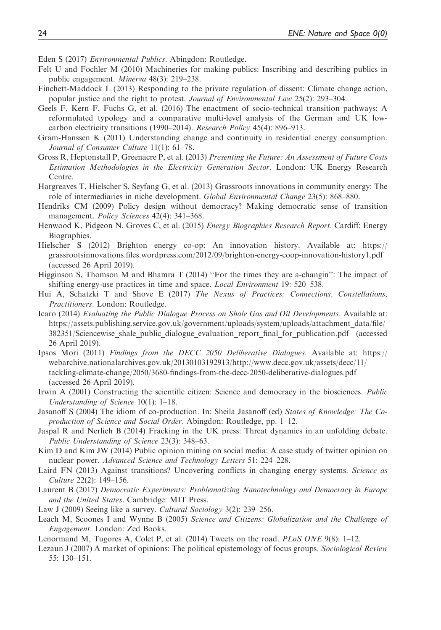Eden S (2017) Environmental Publics. Abingdon: Routledge.

- Felt U and Fochler M (2010) Machineries for making publics: Inscribing and describing publics in public engagement. Minerva 48(3): 219–238.
- Finchett-Maddock L (2013) Responding to the private regulation of dissent: Climate change action, popular justice and the right to protest. Journal of Environmental Law 25(2): 293–304.
- Geels F, Kern F, Fuchs G, et al. (2016) The enactment of socio-technical transition pathways: A reformulated typology and a comparative multi-level analysis of the German and UK lowcarbon electricity transitions (1990–2014). Research Policy 45(4): 896–913.
- Gram-Hanssen K (2011) Understanding change and continuity in residential energy consumption. Journal of Consumer Culture 11(1): 61–78.
- Gross R, Heptonstall P, Greenacre P, et al. (2013) Presenting the Future: An Assessment of Future Costs Estimation Methodologies in the Electricity Generation Sector. London: UK Energy Research Centre.
- Hargreaves T, Hielscher S, Seyfang G, et al. (2013) Grassroots innovations in community energy: The role of intermediaries in niche development. Global Environmental Change 23(5): 868–880.
- Hendriks CM (2009) Policy design without democracy? Making democratic sense of transition management. *Policy Sciences* 42(4): 341–368.
- Henwood K, Pidgeon N, Groves C, et al. (2015) Energy Biographies Research Report. Cardiff: Energy Biographies.
- Hielscher S (2012) Brighton energy co-op: An innovation history. Available at: [https://](https://grassrootsinnovations.files.wordpress.com/2012/09/brighton-energy-coop-innovation-history1.pdf) [grassrootsinnovations.files.wordpress.com/2012/09/brighton-energy-coop-innovation-history1.pdf](https://grassrootsinnovations.files.wordpress.com/2012/09/brighton-energy-coop-innovation-history1.pdf) (accessed 26 April 2019).
- Higginson S, Thomson M and Bhamra T (2014) ''For the times they are a-changin'': The impact of shifting energy-use practices in time and space. Local Environment 19: 520–538.
- Hui A, Schatzki T and Shove E (2017) The Nexus of Practices: Connections, Constellations, Practitioners. London: Routledge.
- Icaro (2014) Evaluating the Public Dialogue Process on Shale Gas and Oil Developments. Available at: https://assets.publishing.service.gov.uk/government/uploads/system/uploads/attachment\_data/file/ 382351/Sciencewise\_shale\_public\_dialogue\_evaluation\_report\_final\_for\_publication.pdf (accessed 26 April 2019).
- Ipsos Mori (2011) Findings from the DECC 2050 Deliberative Dialogues. Available at: https:// webarchive.nationalarchives.gov.uk/20130103192913/http://www.decc.gov.uk/assets/decc/11/ tackling-climate-change/2050/3680-findings-from-the-decc-2050-deliberative-dialogues.pdf (accessed 26 April 2019).
- Irwin A (2001) Constructing the scientific citizen: Science and democracy in the biosciences. *Public* Understanding of Science 10(1): 1–18.
- Jasanoff S (2004) The idiom of co-production. In: Sheila Jasanoff (ed) States of Knowledge: The Coproduction of Science and Social Order. Abingdon: Routledge, pp. 1–12.
- Jaspal R and Nerlich B (2014) Fracking in the UK press: Threat dynamics in an unfolding debate. Public Understanding of Science 23(3): 348–63.
- Kim D and Kim JW (2014) Public opinion mining on social media: A case study of twitter opinion on nuclear power. Advanced Science and Technology Letters 51: 224–228.
- Laird FN (2013) Against transitions? Uncovering conflicts in changing energy systems. Science as Culture 22(2): 149–156.
- Laurent B (2017) Democratic Experiments: Problematizing Nanotechnology and Democracy in Europe and the United States. Cambridge: MIT Press.
- Law J (2009) Seeing like a survey. Cultural Sociology 3(2): 239–256.
- Leach M, Scoones I and Wynne B (2005) Science and Citizens: Globalization and the Challenge of Engagement. London: Zed Books.
- Lenormand M, Tugores A, Colet P, et al.  $(2014)$  Tweets on the road. *PLoS ONE* 9(8): 1–12.
- Lezaun J (2007) A market of opinions: The political epistemology of focus groups. Sociological Review 55: 130–151.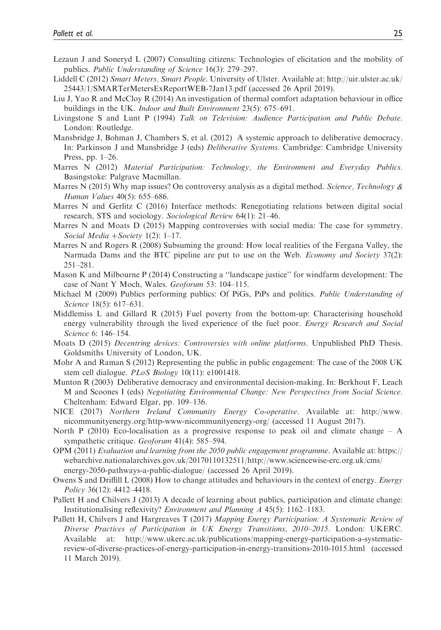- Lezaun J and Soneryd L (2007) Consulting citizens: Technologies of elicitation and the mobility of publics. Public Understanding of Science 16(3): 279–297.
- Liddell C (2012) Smart Meters, Smart People. University of Ulster. Available at: [http://uir.ulster.ac.uk/](http://uir.ulster.ac.uk/25443/1/SMARTerMetersExReportWEB-7Jan13.pdf) [25443/1/SMARTerMetersExReportWEB-7Jan13.pdf](http://uir.ulster.ac.uk/25443/1/SMARTerMetersExReportWEB-7Jan13.pdf) (accessed 26 April 2019).
- Liu J, Yao R and McCloy R (2014) An investigation of thermal comfort adaptation behaviour in office buildings in the UK. *Indoor and Built Environment* 23(5): 675–691.
- Livingstone S and Lunt P (1994) Talk on Television: Audience Participation and Public Debate. London: Routledge.
- Mansbridge J, Bohman J, Chambers S, et al. (2012) A systemic approach to deliberative democracy. In: Parkinson J and Mansbridge J (eds) Deliberative Systems. Cambridge: Cambridge University Press, pp. 1–26.
- Marres N (2012) Material Participation: Technology, the Environment and Everyday Publics. Basingstoke: Palgrave Macmillan.
- Marres N (2015) Why map issues? On controversy analysis as a digital method. Science, Technology  $\&$ Human Values 40(5): 655–686.
- Marres N and Gerlitz C (2016) Interface methods: Renegotiating relations between digital social research, STS and sociology. Sociological Review 64(1): 21–46.
- Marres N and Moats D (2015) Mapping controversies with social media: The case for symmetry. Social Media + Society 1(2): 1–17.
- Marres N and Rogers R (2008) Subsuming the ground: How local realities of the Fergana Valley, the Narmada Dams and the BTC pipeline are put to use on the Web. *Economy and Society* 37(2): 251–281.
- Mason K and Milbourne P (2014) Constructing a ''landscape justice'' for windfarm development: The case of Nant Y Moch, Wales. Geoforum 53: 104–115.
- Michael M (2009) Publics performing publics: Of PiGs, PiPs and politics. Public Understanding of Science 18(5): 617–631.
- Middlemiss L and Gillard R (2015) Fuel poverty from the bottom-up: Characterising household energy vulnerability through the lived experience of the fuel poor. *Energy Research and Social* Science 6: 146–154.
- Moats D (2015) Decentring devices: Controversies with online platforms. Unpublished PhD Thesis. Goldsmiths University of London, UK.
- Mohr A and Raman S (2012) Representing the public in public engagement: The case of the 2008 UK stem cell dialogue. *PLoS Biology* 10(11): e1001418.
- Munton R (2003) Deliberative democracy and environmental decision-making. In: Berkhout F, Leach M and Scoones I (eds) Negotiating Environmental Change: New Perspectives from Social Science. Cheltenham: Edward Elgar, pp. 109–136.
- NICE (2017) Northern Ireland Community Energy Co-operative. Available at: [http://www.](http://www.nicommunityenergy.org/http-www-nicommunityenergy-org/) [nicommunityenergy.org/http-www-nicommunityenergy-org/](http://www.nicommunityenergy.org/http-www-nicommunityenergy-org/) (accessed 11 August 2017).
- North P (2010) Eco-localisation as a progressive response to peak oil and climate change  $-$  A sympathetic critique. Geoforum 41(4): 585–594.
- OPM (2011) Evaluation and learning from the 2050 public engagement programme. Available at: https:// webarchive.nationalarchives.gov.uk/20170110132511/http://www.sciencewise-erc.org.uk/cms/ energy-2050-pathways-a-public-dialogue/ (accessed 26 April 2019).
- Owens S and Driffill L (2008) How to change attitudes and behaviours in the context of energy. Energy Policy 36(12): 4412–4418.
- Pallett H and Chilvers J (2013) A decade of learning about publics, participation and climate change: Institutionalising reflexivity? Environment and Planning A 45(5): 1162–1183.
- Pallett H, Chilvers J and Hargreaves T (2017) Mapping Energy Participation: A Systematic Review of Diverse Practices of Participation in UK Energy Transitions, 2010–2015. London: UKERC. Available at: [http://www.ukerc.ac.uk/publications/mapping-energy-participation-a-systematic](http://www.ukerc.ac.uk/publications/mapping-energy-participation-a-systematic-review-of-diverse-practices-of-energy-participation-in-energy-transitions-2010-1015.html)[review-of-diverse-practices-of-energy-participation-in-energy-transitions-2010-1015.html](http://www.ukerc.ac.uk/publications/mapping-energy-participation-a-systematic-review-of-diverse-practices-of-energy-participation-in-energy-transitions-2010-1015.html) (accessed 11 March 2019).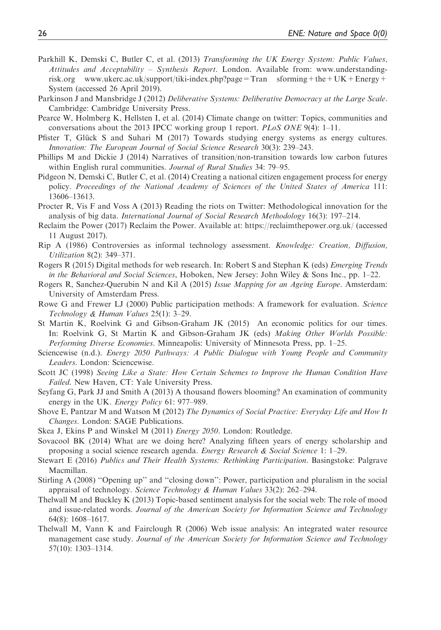- Parkhill K, Demski C, Butler C, et al. (2013) Transforming the UK Energy System: Public Values, Attitudes and Acceptability – Synthesis Report. London. Available from: www.understandingrisk.org www.ukerc.ac.uk/support/tiki-index.php?page=Tran sforming+the+UK+Energy+ System (accessed 26 April 2019).
- Parkinson J and Mansbridge J (2012) Deliberative Systems: Deliberative Democracy at the Large Scale. Cambridge: Cambridge University Press.
- Pearce W, Holmberg K, Hellsten I, et al. (2014) Climate change on twitter: Topics, communities and conversations about the 2013 IPCC working group 1 report. PLoS ONE 9(4): 1–11.
- Pfister T, Glück S and Suhari M (2017) Towards studying energy systems as energy cultures. Innovation: The European Journal of Social Science Research 30(3): 239–243.
- Phillips M and Dickie J (2014) Narratives of transition/non-transition towards low carbon futures within English rural communities. Journal of Rural Studies 34: 79–95.
- Pidgeon N, Demski C, Butler C, et al. (2014) Creating a national citizen engagement process for energy policy. Proceedings of the National Academy of Sciences of the United States of America 111: 13606–13613.
- Procter R, Vis F and Voss A (2013) Reading the riots on Twitter: Methodological innovation for the analysis of big data. International Journal of Social Research Methodology 16(3): 197–214.
- Reclaim the Power (2017) Reclaim the Power. Available at:<https://reclaimthepower.org.uk/> (accessed 11 August 2017).
- Rip A (1986) Controversies as informal technology assessment. Knowledge: Creation, Diffusion, Utilization 8(2): 349–371.
- Rogers R (2015) Digital methods for web research. In: Robert S and Stephan K (eds) Emerging Trends in the Behavioral and Social Sciences, Hoboken, New Jersey: John Wiley & Sons Inc., pp.  $1-22$ .
- Rogers R, Sanchez-Querubin N and Kil A (2015) Issue Mapping for an Ageing Europe. Amsterdam: University of Amsterdam Press.
- Rowe G and Frewer LJ (2000) Public participation methods: A framework for evaluation. Science Technology & Human Values 25(1): 3–29.
- St Martin K, Roelvink G and Gibson-Graham JK (2015) An economic politics for our times. In: Roelvink G, St Martin K and Gibson-Graham JK (eds) Making Other Worlds Possible: Performing Diverse Economies. Minneapolis: University of Minnesota Press, pp. 1–25.
- Sciencewise (n.d.). *Energy 2050 Pathways: A Public Dialogue with Young People and Community* Leaders. London: Sciencewise.
- Scott JC (1998) Seeing Like a State: How Certain Schemes to Improve the Human Condition Have Failed. New Haven, CT: Yale University Press.
- Seyfang G, Park JJ and Smith A (2013) A thousand flowers blooming? An examination of community energy in the UK. Energy Policy 61: 977–989.
- Shove E, Pantzar M and Watson M (2012) The Dynamics of Social Practice: Everyday Life and How It Changes. London: SAGE Publications.
- Skea J, Ekins P and Winskel M (2011) *Energy 2050*. London: Routledge.
- Sovacool BK (2014) What are we doing here? Analyzing fifteen years of energy scholarship and proposing a social science research agenda. Energy Research & Social Science 1: 1–29.
- Stewart E (2016) Publics and Their Health Systems: Rethinking Participation. Basingstoke: Palgrave Macmillan.
- Stirling A (2008) ''Opening up'' and ''closing down'': Power, participation and pluralism in the social appraisal of technology. Science Technology & Human Values 33(2): 262–294.
- Thelwall M and Buckley K (2013) Topic-based sentiment analysis for the social web: The role of mood and issue-related words. Journal of the American Society for Information Science and Technology 64(8): 1608–1617.
- Thelwall M, Vann K and Fairclough R (2006) Web issue analysis: An integrated water resource management case study. Journal of the American Society for Information Science and Technology 57(10): 1303–1314.